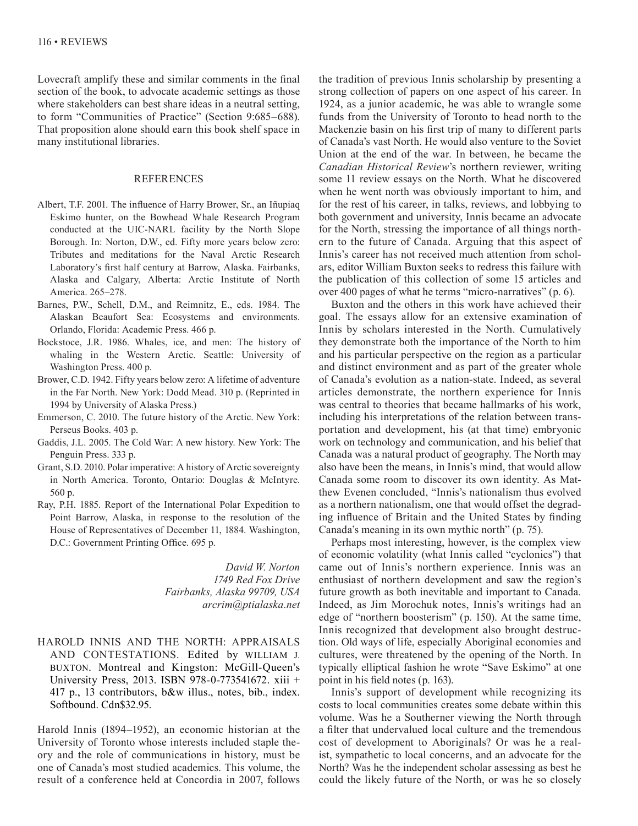Lovecraft amplify these and similar comments in the final section of the book, to advocate academic settings as those where stakeholders can best share ideas in a neutral setting, to form "Communities of Practice" (Section 9:685–688). That proposition alone should earn this book shelf space in many institutional libraries.

## REFERENCES

- Albert, T.F. 2001. The influence of Harry Brower, Sr., an Iñupiaq Eskimo hunter, on the Bowhead Whale Research Program conducted at the UIC-NARL facility by the North Slope Borough. In: Norton, D.W., ed. Fifty more years below zero: Tributes and meditations for the Naval Arctic Research Laboratory's first half century at Barrow, Alaska. Fairbanks, Alaska and Calgary, Alberta: Arctic Institute of North America. 265–278.
- Barnes, P.W., Schell, D.M., and Reimnitz, E., eds. 1984. The Alaskan Beaufort Sea: Ecosystems and environments. Orlando, Florida: Academic Press. 466 p.
- Bockstoce, J.R. 1986. Whales, ice, and men: The history of whaling in the Western Arctic. Seattle: University of Washington Press. 400 p.
- Brower, C.D. 1942. Fifty years below zero: A lifetime of adventure in the Far North. New York: Dodd Mead. 310 p. (Reprinted in 1994 by University of Alaska Press.)
- Emmerson, C. 2010. The future history of the Arctic. New York: Perseus Books. 403 p.
- Gaddis, J.L. 2005. The Cold War: A new history. New York: The Penguin Press. 333 p.
- Grant, S.D. 2010. Polar imperative: A history of Arctic sovereignty in North America. Toronto, Ontario: Douglas & McIntyre. 560 p.
- Ray, P.H. 1885. Report of the International Polar Expedition to Point Barrow, Alaska, in response to the resolution of the House of Representatives of December 11, 1884. Washington, D.C.: Government Printing Office. 695 p.

*David W. Norton 1749 Red Fox Drive Fairbanks, Alaska 99709, USA arcrim@ptialaska.net*

## HAROLD INNIS AND THE NORTH: APPRAISALS AND CONTESTATIONS. Edited by WILLIAM J. BUXTON. Montreal and Kingston: McGill-Queen's University Press, 2013. ISBN 978-0-773541672. xiii + 417 p., 13 contributors, b&w illus., notes, bib., index. Softbound. Cdn\$32.95.

Harold Innis (1894–1952), an economic historian at the University of Toronto whose interests included staple theory and the role of communications in history, must be one of Canada's most studied academics. This volume, the result of a conference held at Concordia in 2007, follows

the tradition of previous Innis scholarship by presenting a strong collection of papers on one aspect of his career. In 1924, as a junior academic, he was able to wrangle some funds from the University of Toronto to head north to the Mackenzie basin on his first trip of many to different parts of Canada's vast North. He would also venture to the Soviet Union at the end of the war. In between, he became the *Canadian Historical Review*'s northern reviewer, writing some 11 review essays on the North. What he discovered when he went north was obviously important to him, and for the rest of his career, in talks, reviews, and lobbying to both government and university, Innis became an advocate for the North, stressing the importance of all things northern to the future of Canada. Arguing that this aspect of Innis's career has not received much attention from scholars, editor William Buxton seeks to redress this failure with the publication of this collection of some 15 articles and over 400 pages of what he terms "micro-narratives" (p. 6).

Buxton and the others in this work have achieved their goal. The essays allow for an extensive examination of Innis by scholars interested in the North. Cumulatively they demonstrate both the importance of the North to him and his particular perspective on the region as a particular and distinct environment and as part of the greater whole of Canada's evolution as a nation-state. Indeed, as several articles demonstrate, the northern experience for Innis was central to theories that became hallmarks of his work, including his interpretations of the relation between transportation and development, his (at that time) embryonic work on technology and communication, and his belief that Canada was a natural product of geography. The North may also have been the means, in Innis's mind, that would allow Canada some room to discover its own identity. As Matthew Evenen concluded, "Innis's nationalism thus evolved as a northern nationalism, one that would offset the degrading influence of Britain and the United States by finding Canada's meaning in its own mythic north" (p. 75).

Perhaps most interesting, however, is the complex view of economic volatility (what Innis called "cyclonics") that came out of Innis's northern experience. Innis was an enthusiast of northern development and saw the region's future growth as both inevitable and important to Canada. Indeed, as Jim Morochuk notes, Innis's writings had an edge of "northern boosterism" (p. 150). At the same time, Innis recognized that development also brought destruction. Old ways of life, especially Aboriginal economies and cultures, were threatened by the opening of the North. In typically elliptical fashion he wrote "Save Eskimo" at one point in his field notes (p. 163).

Innis's support of development while recognizing its costs to local communities creates some debate within this volume. Was he a Southerner viewing the North through a filter that undervalued local culture and the tremendous cost of development to Aboriginals? Or was he a realist, sympathetic to local concerns, and an advocate for the North? Was he the independent scholar assessing as best he could the likely future of the North, or was he so closely